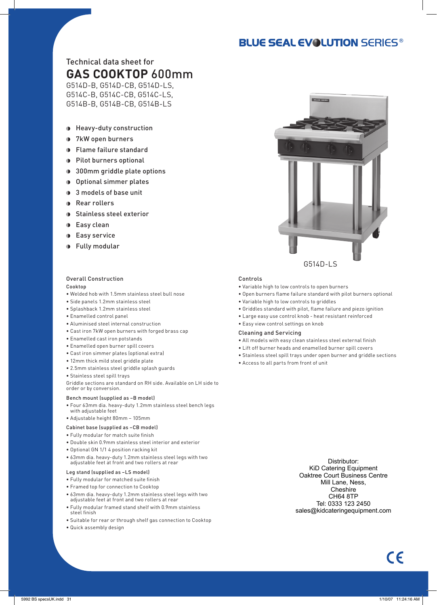## **BLUE SEAL EVOLUTION SERIES®**

## Technical data sheet for **GAS COOKTOP** 600mm

G514D-B, G514D-CB, G514D-LS, G514C-B, G514C-CB, G514C-LS, G514B-B, G514B-CB, G514B-LS

- Heavy-duty construction
- 7kW open burners
- Flame failure standard
- **Pilot burners optional**
- **300mm griddle plate options**
- Optional simmer plates
- **3** models of base unit
- Rear rollers
- **D** Stainless steel exterior
- **D** Easy clean
- **Easy service**
- Fully modular

## Overall Construction

Cooktop

- Welded hob with 1.5mm stainless steel bull nose
- Side panels 1.2mm stainless steel
- Splashback 1.2mm stainless steel
- Enamelled control panel
- Aluminised steel internal construction
- Cast iron 7kW open burners with forged brass cap
- Enamelled cast iron potstands
- Enamelled open burner spill covers
- Cast iron simmer plates (optional extra)
- 12mm thick mild steel griddle plate
- 2.5mm stainless steel griddle splash guards
- Stainless steel spill trays

Griddle sections are standard on RH side. Available on LH side to order or by conversion.

#### Bench mount (supplied as –B model)

- Four 63mm dia. heavy-duty 1.2mm stainless steel bench legs with adjustable feet
- Adjustable height 80mm 105mm

#### Cabinet base (supplied as –CB model)

- Fully modular for match suite finish
- Double skin 0.9mm stainless steel interior and exterior
- Optional GN 1/1 4 position racking kit
- 63mm dia. heavy-duty 1.2mm stainless steel legs with two adjustable feet at front and two rollers at rear

#### Leg stand (supplied as –LS model)

- Fully modular for matched suite finish
- Framed top for connection to Cooktop
- 63mm dia. heavy-duty 1.2mm stainless steel legs with two adjustable feet at front and two rollers at rear
- Fully modular framed stand shelf with 0.9mm stainless steel finish
- Suitable for rear or through shelf gas connection to Cooktop
- Quick assembly design

#### Controls

- Variable high to low controls to open burners
- Open burners flame failure standard with pilot burners optional
- Variable high to low controls to griddles
- Griddles standard with pilot, flame failure and piezo ignition
- Large easy use control knob heat resistant reinforced
- Easy view control settings on knob

#### Cleaning and Servicing

- All models with easy clean stainless steel external finish
- Lift off burner heads and enamelled burner spill covers
- Stainless steel spill trays under open burner and griddle sections
- Access to all parts from front of unit

Distributor: KiD Catering Equipment Oaktree Court Business Centre Mill Lane, Ness, Cheshire CH64 8TP Tel: 0333 123 2450 sales@kidcateringequipment.com